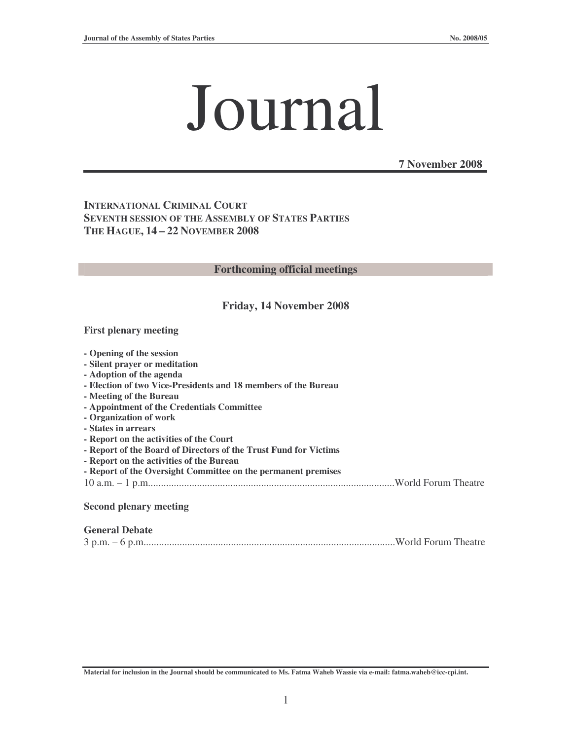# Journal

**7 November 2008**

**INTERNATIONAL CRIMINAL COURT SEVENTH SESSION OF THE ASSEMBLY OF STATES PARTIES THE HAGUE, 14 – 22 NOVEMBER 2008**

#### **Forthcoming official meetings**

#### **Friday, 14 November 2008**

#### **First plenary meeting**

| - Opening of the session                                         |
|------------------------------------------------------------------|
| - Silent prayer or meditation                                    |
| - Adoption of the agenda                                         |
| - Election of two Vice-Presidents and 18 members of the Bureau   |
| - Meeting of the Bureau                                          |
| - Appointment of the Credentials Committee                       |
| - Organization of work                                           |
| - States in arrears                                              |
| - Report on the activities of the Court                          |
| - Report of the Board of Directors of the Trust Fund for Victims |
| - Report on the activities of the Bureau                         |
| - Report of the Oversight Committee on the permanent premises    |
|                                                                  |
| <b>Second plenary meeting</b>                                    |

#### **General Debate**

|--|--|--|

Material for inclusion in the Journal should be communicated to Ms. Fatma Waheb Wassie via e-mail: fatma.waheb@icc-cpi.int.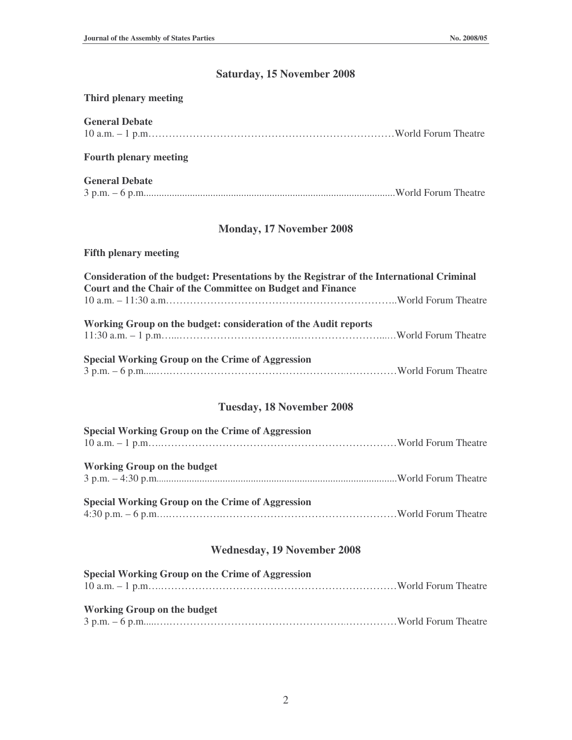# **Saturday, 15 November 2008**

#### **Third plenary meeting**

| <b>General Debate</b>                                                                                                                                   |
|---------------------------------------------------------------------------------------------------------------------------------------------------------|
| <b>Fourth plenary meeting</b>                                                                                                                           |
| <b>General Debate</b>                                                                                                                                   |
| <b>Monday, 17 November 2008</b>                                                                                                                         |
| <b>Fifth plenary meeting</b>                                                                                                                            |
| Consideration of the budget: Presentations by the Registrar of the International Criminal<br>Court and the Chair of the Committee on Budget and Finance |
| Working Group on the budget: consideration of the Audit reports                                                                                         |
| <b>Special Working Group on the Crime of Aggression</b>                                                                                                 |
| <b>Tuesday, 18 November 2008</b>                                                                                                                        |
| <b>Special Working Group on the Crime of Aggression</b>                                                                                                 |
| <b>Working Group on the budget</b>                                                                                                                      |
| <b>Special Working Group on the Crime of Aggression</b>                                                                                                 |
| <b>Wednesday, 19 November 2008</b>                                                                                                                      |

| Special Working Group on the Crime of Aggression |  |
|--------------------------------------------------|--|
|                                                  |  |
|                                                  |  |
| <b>Working Group on the budget</b>               |  |
|                                                  |  |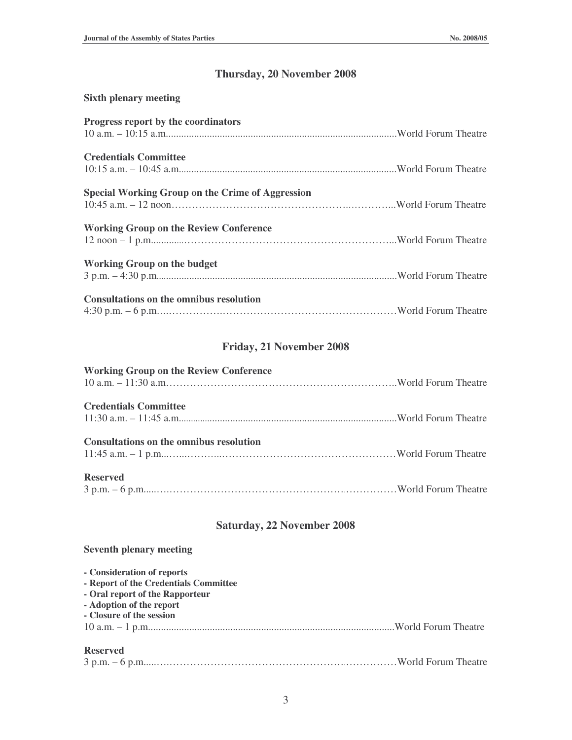## **Thursday, 20 November 2008**

| <b>Sixth plenary meeting</b>                            |  |
|---------------------------------------------------------|--|
| Progress report by the coordinators                     |  |
|                                                         |  |
| <b>Credentials Committee</b>                            |  |
|                                                         |  |
| <b>Special Working Group on the Crime of Aggression</b> |  |
|                                                         |  |
| <b>Working Group on the Review Conference</b>           |  |
|                                                         |  |
| <b>Working Group on the budget</b>                      |  |
|                                                         |  |
| <b>Consultations on the omnibus resolution</b>          |  |
|                                                         |  |

# **Friday, 21 November 2008**

| <b>Working Group on the Review Conference</b>  |  |
|------------------------------------------------|--|
| <b>Credentials Committee</b>                   |  |
| <b>Consultations on the omnibus resolution</b> |  |
| <b>Reserved</b>                                |  |

## **Saturday, 22 November 2008**

#### **Seventh plenary meeting**

| - Consideration of reports            |  |
|---------------------------------------|--|
| - Report of the Credentials Committee |  |
| - Oral report of the Rapporteur       |  |
| - Adoption of the report              |  |
| - Closure of the session              |  |
|                                       |  |
|                                       |  |
| <b>Reserved</b>                       |  |

3

3 p.m. – 6 p.m.....….…………………………………………….……………World Forum Theatre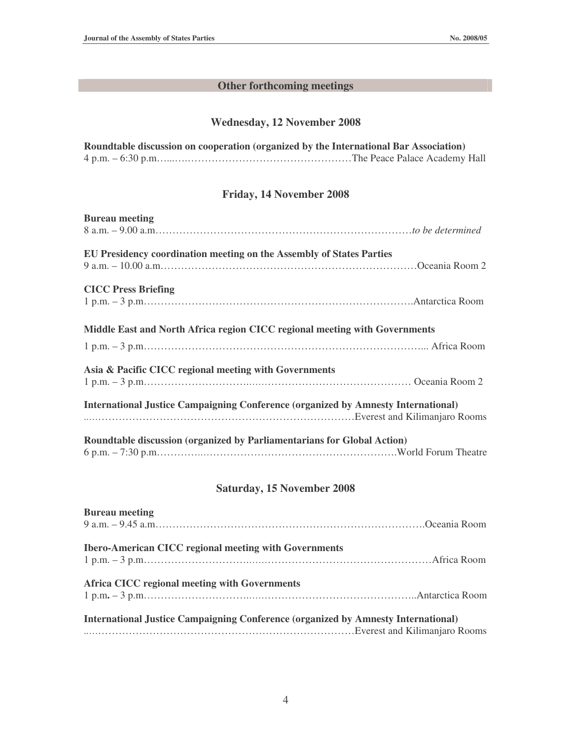# **Other forthcoming meetings**

### **Wednesday, 12 November 2008**

| Roundtable discussion on cooperation (organized by the International Bar Association) |
|---------------------------------------------------------------------------------------|
|                                                                                       |

### **Friday, 14 November 2008**

| <b>Bureau</b> meeting                                                                    |  |
|------------------------------------------------------------------------------------------|--|
|                                                                                          |  |
| EU Presidency coordination meeting on the Assembly of States Parties                     |  |
| <b>CICC Press Briefing</b>                                                               |  |
|                                                                                          |  |
| Middle East and North Africa region CICC regional meeting with Governments               |  |
|                                                                                          |  |
| Asia & Pacific CICC regional meeting with Governments                                    |  |
|                                                                                          |  |
| <b>International Justice Campaigning Conference (organized by Amnesty International)</b> |  |
| Roundtable discussion (organized by Parliamentarians for Global Action)                  |  |

## **Saturday, 15 November 2008**

| <b>Bureau meeting</b>                                                                    |  |
|------------------------------------------------------------------------------------------|--|
|                                                                                          |  |
| <b>Ibero-American CICC regional meeting with Governments</b>                             |  |
| Africa CICC regional meeting with Governments                                            |  |
| <b>International Justice Campaigning Conference (organized by Amnesty International)</b> |  |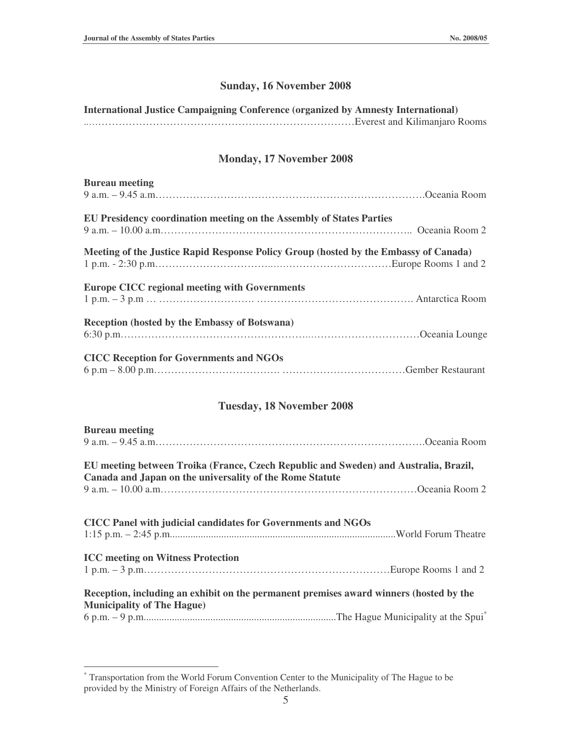## **Sunday, 16 November 2008**

## **International Justice Campaigning Conference (organized by Amnesty International)**

..……………………………………………………………………Everest and Kilimanjaro Rooms

## **Monday, 17 November 2008**

| <b>Bureau</b> meeting                                                                |
|--------------------------------------------------------------------------------------|
|                                                                                      |
| EU Presidency coordination meeting on the Assembly of States Parties                 |
|                                                                                      |
| Meeting of the Justice Rapid Response Policy Group (hosted by the Embassy of Canada) |
| <b>Europe CICC regional meeting with Governments</b>                                 |
| <b>Reception (hosted by the Embassy of Botswana)</b>                                 |
| <b>CICC Reception for Governments and NGOs</b>                                       |

## **Tuesday, 18 November 2008**

| <b>Bureau meeting</b>                                                                                                                            |
|--------------------------------------------------------------------------------------------------------------------------------------------------|
|                                                                                                                                                  |
| EU meeting between Troika (France, Czech Republic and Sweden) and Australia, Brazil,<br>Canada and Japan on the universality of the Rome Statute |
|                                                                                                                                                  |
|                                                                                                                                                  |
| CICC Panel with judicial candidates for Governments and NGOs                                                                                     |
|                                                                                                                                                  |
| <b>ICC</b> meeting on Witness Protection                                                                                                         |
|                                                                                                                                                  |
| Reception, including an exhibit on the permanent premises award winners (hosted by the                                                           |
| <b>Municipality of The Hague)</b>                                                                                                                |
|                                                                                                                                                  |

<sup>\*</sup> Transportation from the World Forum Convention Center to the Municipality of The Hague to be provided by the Ministry of Foreign Affairs of the Netherlands.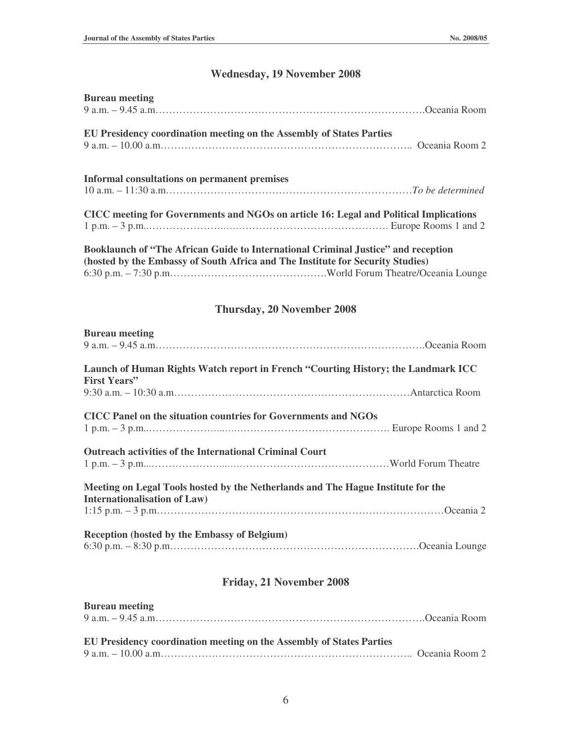# **Wednesday, 19 November 2008**

| <b>Bureau meeting</b>                                                                 |  |
|---------------------------------------------------------------------------------------|--|
|                                                                                       |  |
| EU Presidency coordination meeting on the Assembly of States Parties                  |  |
|                                                                                       |  |
| <b>Informal consultations on permanent premises</b>                                   |  |
|                                                                                       |  |
| CICC meeting for Governments and NGOs on article 16: Legal and Political Implications |  |
|                                                                                       |  |
| Booklaunch of "The African Guide to International Criminal Justice" and reception     |  |
| (hosted by the Embassy of South Africa and The Institute for Security Studies)        |  |
|                                                                                       |  |

# **Thursday, 20 November 2008**

| <b>Bureau</b> meeting                                                                                            |  |
|------------------------------------------------------------------------------------------------------------------|--|
|                                                                                                                  |  |
| Launch of Human Rights Watch report in French "Courting History; the Landmark ICC<br><b>First Years''</b>        |  |
|                                                                                                                  |  |
| CICC Panel on the situation countries for Governments and NGOs                                                   |  |
| <b>Outreach activities of the International Criminal Court</b>                                                   |  |
| Meeting on Legal Tools hosted by the Netherlands and The Hague Institute for the<br>Internationalisation of Law) |  |
|                                                                                                                  |  |
| Reception (hosted by the Embassy of Belgium)                                                                     |  |
|                                                                                                                  |  |

# **Friday, 21 November 2008**

| <b>Bureau meeting</b>                                                       |  |
|-----------------------------------------------------------------------------|--|
| <b>EU Presidency coordination meeting on the Assembly of States Parties</b> |  |